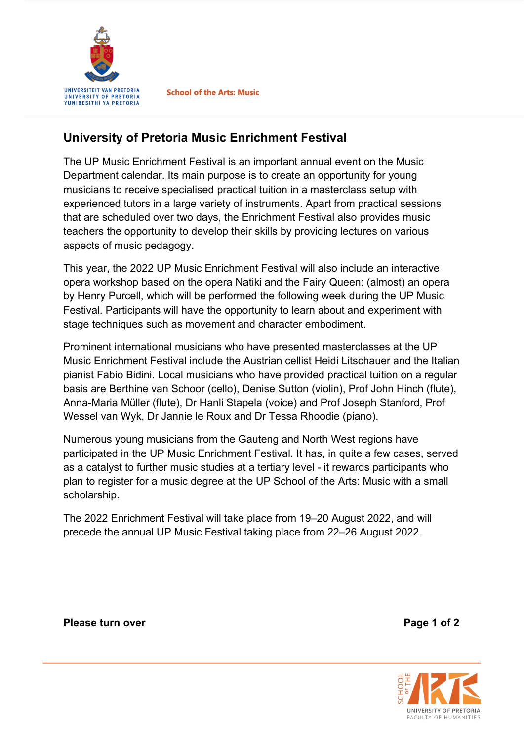

**School of the Arts: Music** 

## **University of Pretoria Music Enrichment Festival**

The UP Music Enrichment Festival is an important annual event on the Music Department calendar. Its main purpose is to create an opportunity for young musicians to receive specialised practical tuition in a masterclass setup with experienced tutors in a large variety of instruments. Apart from practical sessions that are scheduled over two days, the Enrichment Festival also provides music teachers the opportunity to develop their skills by providing lectures on various aspects of music pedagogy.

This year, the 2022 UP Music Enrichment Festival will also include an interactive opera workshop based on the opera Natiki and the Fairy Queen: (almost) an opera by Henry Purcell, which will be performed the following week during the UP Music Festival. Participants will have the opportunity to learn about and experiment with stage techniques such as movement and character embodiment.

Prominent international musicians who have presented masterclasses at the UP Music Enrichment Festival include the Austrian cellist Heidi Litschauer and the Italian pianist Fabio Bidini. Local musicians who have provided practical tuition on a regular basis are Berthine van Schoor (cello), Denise Sutton (violin), Prof John Hinch (flute), Anna-Maria Müller (flute), Dr Hanli Stapela (voice) and Prof Joseph Stanford, Prof Wessel van Wyk, Dr Jannie le Roux and Dr Tessa Rhoodie (piano).

Numerous young musicians from the Gauteng and North West regions have participated in the UP Music Enrichment Festival. It has, in quite a few cases, served as a catalyst to further music studies at a tertiary level - it rewards participants who plan to register for a music degree at the UP School of the Arts: Music with a small scholarship.

The 2022 Enrichment Festival will take place from 19–20 August 2022, and will precede the annual UP Music Festival taking place from 22–26 August 2022.

**Please turn over Please turn over Page 1 of 2**